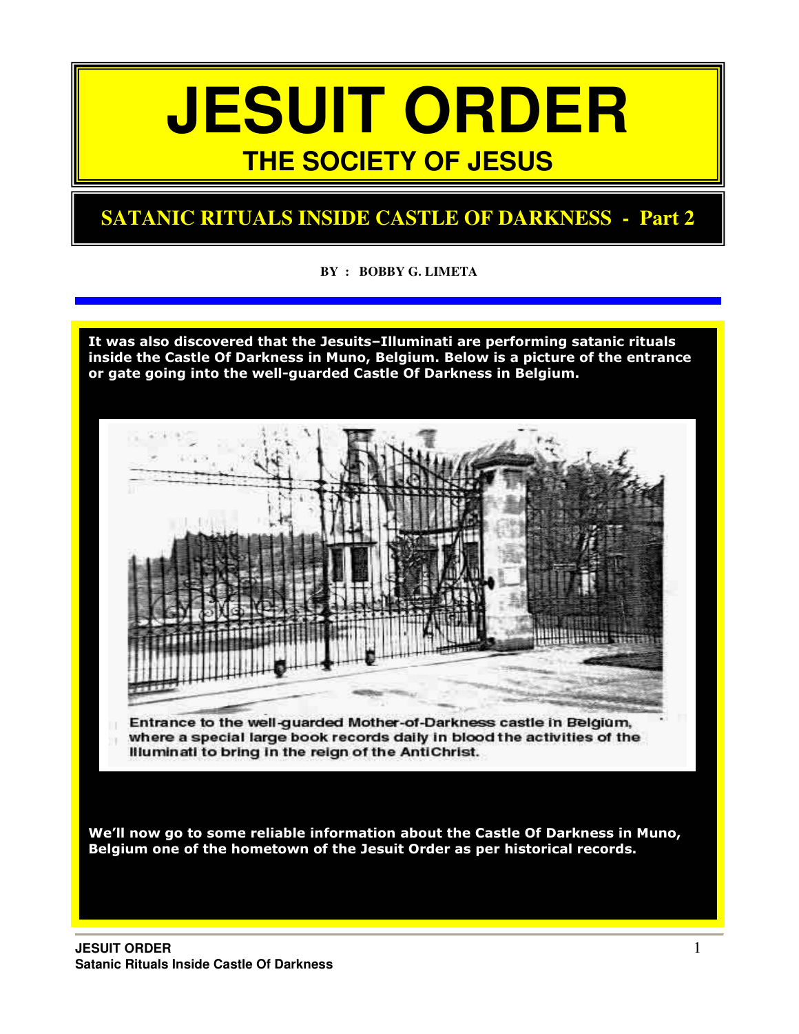# **JESUIT ORDER THE SOCIETY OF JESUS**

## **SATANIC RITUALS INSIDE CASTLE OF DARKNESS - Part 2**

**BY : BOBBY G. LIMETA** 

It was also discovered that the Jesuits–Illuminati are performing satanic rituals inside the Castle Of Darkness in Muno, Belgium. Below is a picture of the entrance or gate going into the well-guarded Castle Of Darkness in Belgium.



Entrance to the well-guarded Mother-of-Darkness castle in Belgium, where a special large book records daily in blood the activities of the Illuminati to bring in the reign of the AntiChrist.

We'll now go to some reliable information about the Castle Of Darkness in Muno, Belgium one of the hometown of the Jesuit Order as per historical records.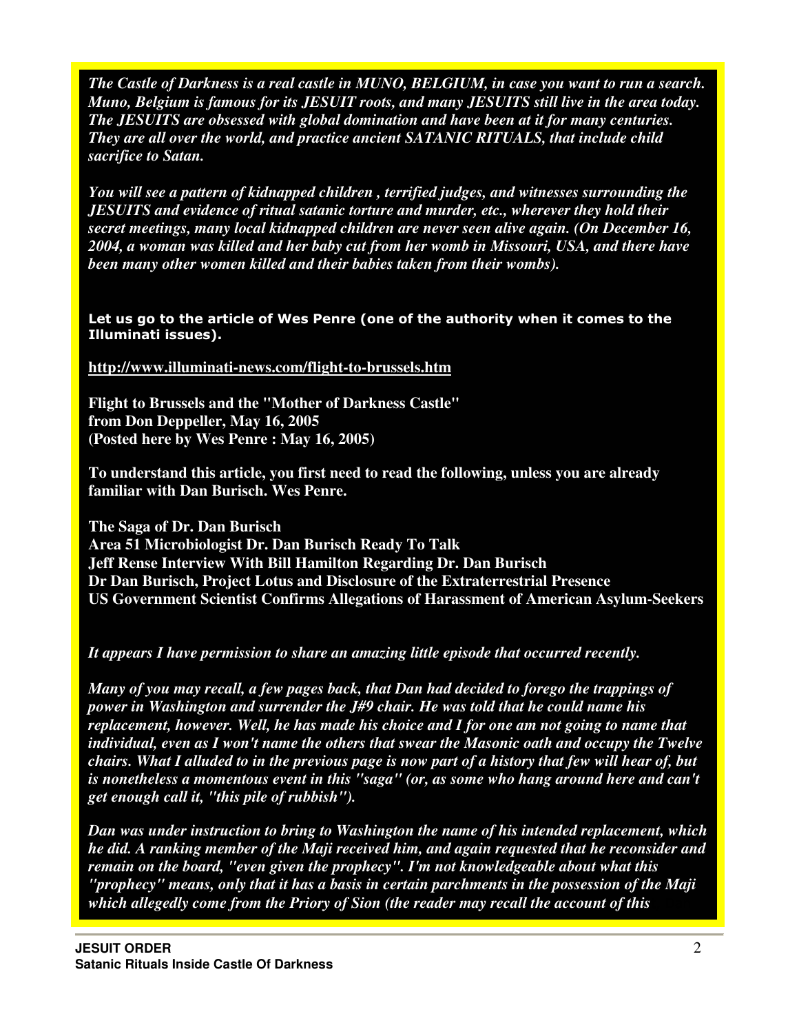*The Castle of Darkness is a real castle in MUNO, BELGIUM, in case you want to run a search. Muno, Belgium is famous for its JESUIT roots, and many JESUITS still live in the area today. The JESUITS are obsessed with global domination and have been at it for many centuries. They are all over the world, and practice ancient SATANIC RITUALS, that include child sacrifice to Satan.* 

*You will see a pattern of kidnapped children , terrified judges, and witnesses surrounding the JESUITS and evidence of ritual satanic torture and murder, etc., wherever they hold their secret meetings, many local kidnapped children are never seen alive again. (On December 16, 2004, a woman was killed and her baby cut from her womb in Missouri, USA, and there have been many other women killed and their babies taken from their wombs).* 

#### Let us go to the article of Wes Penre (one of the authority when it comes to the Illuminati issues).

#### **http://www.illuminati-news.com/flight-to-brussels.htm**

**Flight to Brussels and the "Mother of Darkness Castle" from Don Deppeller, May 16, 2005 (Posted here by Wes Penre : May 16, 2005)** 

**To understand this article, you first need to read the following, unless you are already familiar with Dan Burisch. Wes Penre.** 

**The Saga of Dr. Dan Burisch** 

**Area 51 Microbiologist Dr. Dan Burisch Ready To Talk Jeff Rense Interview With Bill Hamilton Regarding Dr. Dan Burisch Dr Dan Burisch, Project Lotus and Disclosure of the Extraterrestrial Presence US Government Scientist Confirms Allegations of Harassment of American Asylum-Seekers** 

#### *It appears I have permission to share an amazing little episode that occurred recently.*

*Many of you may recall, a few pages back, that Dan had decided to forego the trappings of power in Washington and surrender the J#9 chair. He was told that he could name his replacement, however. Well, he has made his choice and I for one am not going to name that individual, even as I won't name the others that swear the Masonic oath and occupy the Twelve chairs. What I alluded to in the previous page is now part of a history that few will hear of, but*  is nonetheless a momentous event in this "saga" (or, as some who hang around here and can't *get enough call it, "this pile of rubbish").* 

*Dan was under instruction to bring to Washington the name of his intended replacement, which he did. A ranking member of the Maji received him, and again requested that he reconsider and remain on the board, "even given the prophecy". I'm not knowledgeable about what this "prophecy" means, only that it has a basis in certain parchments in the possession of the Maji*  which allegedly come from the Priory of Sion (the reader may recall the account of this

reiterated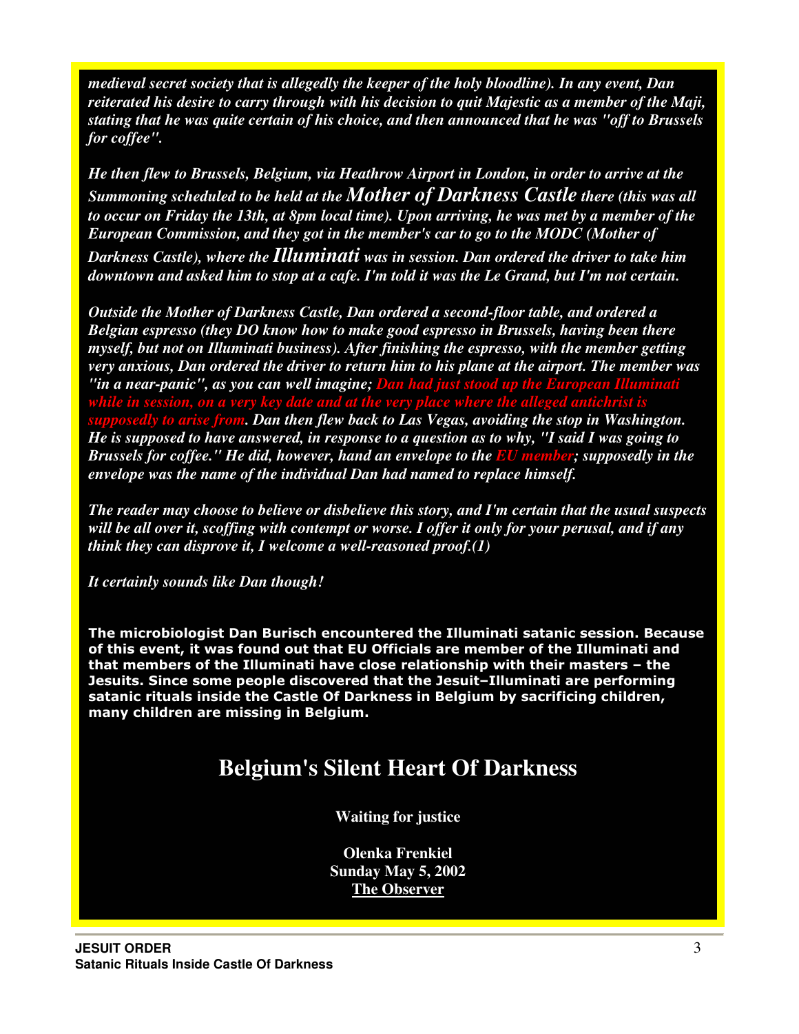*medieval secret society that is allegedly the keeper of the holy bloodline). In any event, Dan reiterated his desire to carry through with his decision to quit Majestic as a member of the Maji, stating that he was quite certain of his choice, and then announced that he was "off to Brussels for coffee".* 

*He then flew to Brussels, Belgium, via Heathrow Airport in London, in order to arrive at the Summoning scheduled to be held at the Mother of Darkness Castle there (this was all to occur on Friday the 13th, at 8pm local time). Upon arriving, he was met by a member of the European Commission, and they got in the member's car to go to the MODC (Mother of Darkness Castle), where the Illuminati was in session. Dan ordered the driver to take him downtown and asked him to stop at a cafe. I'm told it was the Le Grand, but I'm not certain.* 

*Outside the Mother of Darkness Castle, Dan ordered a second-floor table, and ordered a Belgian espresso (they DO know how to make good espresso in Brussels, having been there myself, but not on Illuminati business). After finishing the espresso, with the member getting very anxious, Dan ordered the driver to return him to his plane at the airport. The member was "in a near-panic", as you can well imagine; Dan had just stood up the Europhie in session, on a very key date and at the very place where the alleged while in session, on a very key date and at the very place where the alleged antichrist is supposedly to arise from. Dan then flew back to Las Vegas, avoiding the stop in Washington. He is supposed to have answered, in response to a question as to why, "I said I was going to Brussels for coffee." He did, however, hand an envelope to the EU member; supposedly in the envelope was the name of the individual Dan had named to replace himself.* 

*The reader may choose to believe or disbelieve this story, and I'm certain that the usual suspects will be all over it, scoffing with contempt or worse. I offer it only for your perusal, and if any think they can disprove it, I welcome a well-reasoned proof.(1)* 

*It certainly sounds like Dan though!* 

The microbiologist Dan Burisch encountered the Illuminati satanic session. Because of this event, it was found out that EU Officials are member of the Illuminati and that members of the Illuminati have close relationship with their masters – the Jesuits. Since some people discovered that the Jesuit–Illuminati are performing satanic rituals inside the Castle Of Darkness in Belgium by sacrificing children, many children are missing in Belgium.

# **Belgium's Silent Heart Of Darkness**

**Waiting for justice** 

**Olenka Frenkiel Sunday May 5, 2002 The Observer**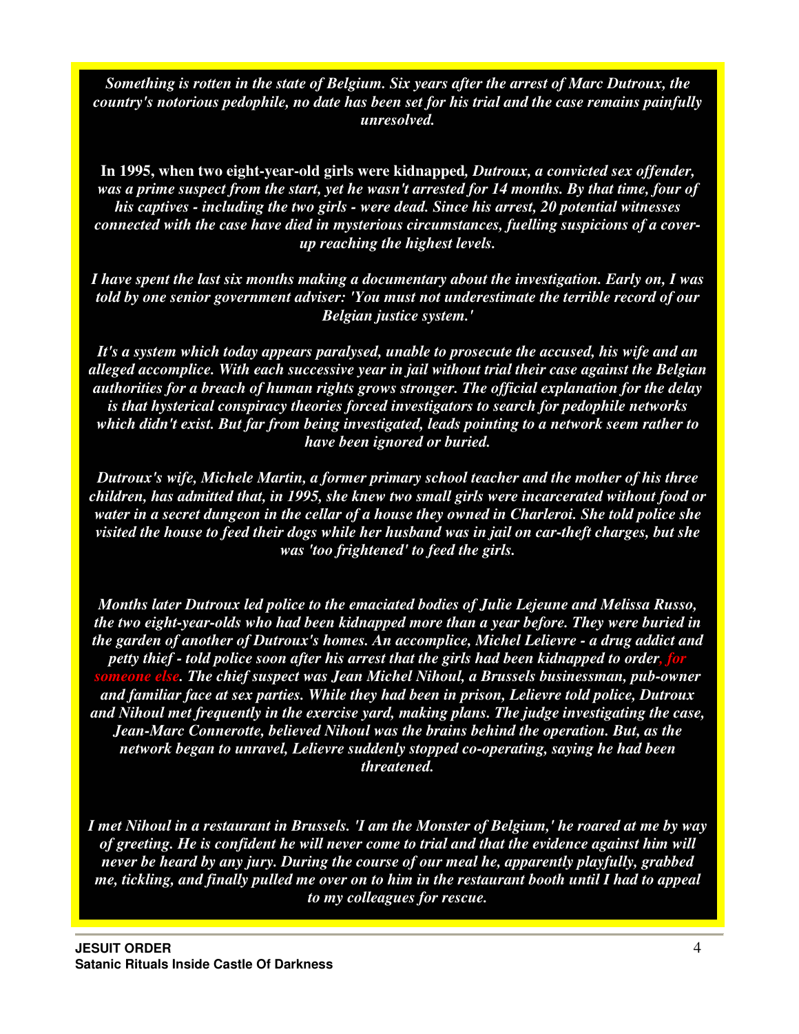*Something is rotten in the state of Belgium. Six years after the arrest of Marc Dutroux, the country's notorious pedophile, no date has been set for his trial and the case remains painfully unresolved.*

**In 1995, when two eight-year-old girls were kidnapped***, Dutroux, a convicted sex offender, was a prime suspect from the start, yet he wasn't arrested for 14 months. By that time, four of his captives - including the two girls - were dead. Since his arrest, 20 potential witnesses connected with the case have died in mysterious circumstances, fuelling suspicions of a coverup reaching the highest levels.* 

*I have spent the last six months making a documentary about the investigation. Early on, I was told by one senior government adviser: 'You must not underestimate the terrible record of our Belgian justice system.'* 

*It's a system which today appears paralysed, unable to prosecute the accused, his wife and an alleged accomplice. With each successive year in jail without trial their case against the Belgian authorities for a breach of human rights grows stronger. The official explanation for the delay is that hysterical conspiracy theories forced investigators to search for pedophile networks which didn't exist. But far from being investigated, leads pointing to a network seem rather to have been ignored or buried.* 

*Dutroux's wife, Michele Martin, a former primary school teacher and the mother of his three children, has admitted that, in 1995, she knew two small girls were incarcerated without food or water in a secret dungeon in the cellar of a house they owned in Charleroi. She told police she visited the house to feed their dogs while her husband was in jail on car-theft charges, but she was 'too frightened' to feed the girls.* 

*Months later Dutroux led police to the emaciated bodies of Julie Lejeune and Melissa Russo, the two eight-year-olds who had been kidnapped more than a year before. They were buried in the garden of another of Dutroux's homes. An accomplice, Michel Lelievre - a drug addict and petty thief - told police soon after his arrest that the girls had been kidnapped to order, f s. The chief suspect was Jean Michel Nihoul, a Brussels businessman, pub-owner and familiar face at sex parties. While they had been in prison, Lelievre told police, Dutroux and Nihoul met frequently in the exercise yard, making plans. The judge investigating the case, Jean-Marc Connerotte, believed Nihoul was the brains behind the operation. But, as the network began to unravel, Lelievre suddenly stopped co-operating, saying he had been threatened.* 

*I met Nihoul in a restaurant in Brussels. 'I am the Monster of Belgium,' he roared at me by way of greeting. He is confident he will never come to trial and that the evidence against him will never be heard by any jury. During the course of our meal he, apparently playfully, grabbed me, tickling, and finally pulled me over on to him in the restaurant booth until I had to appeal to my colleagues for rescue.*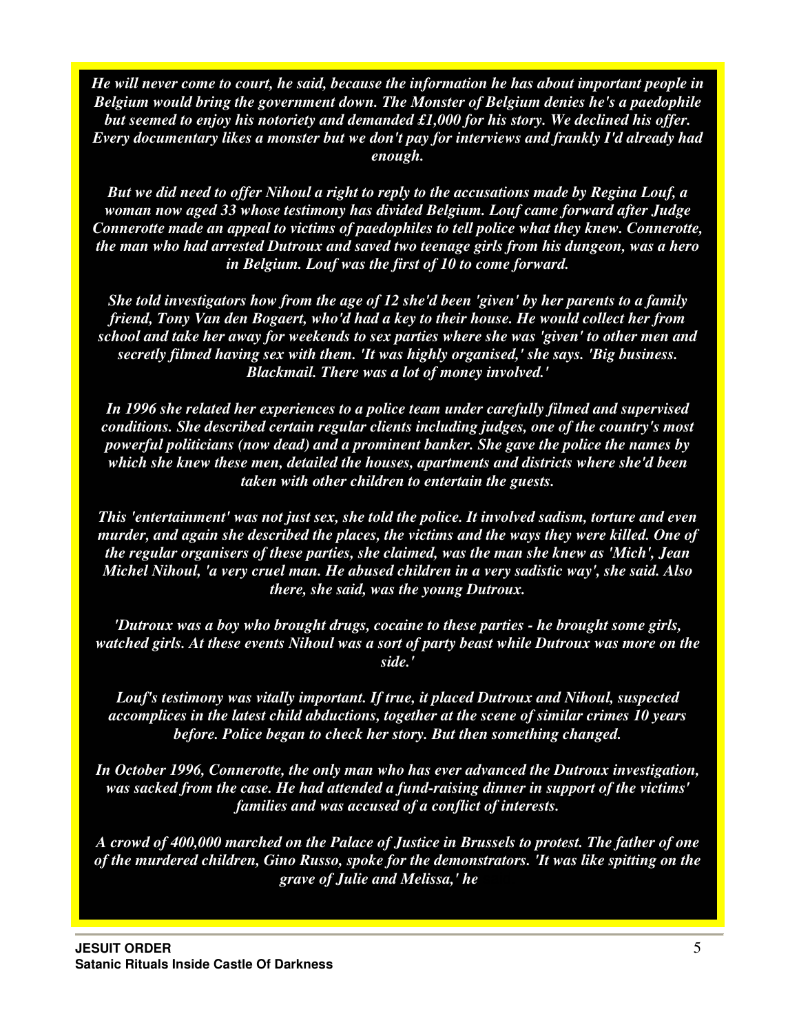*He will never come to court, he said, because the information he has about important people in Belgium would bring the government down. The Monster of Belgium denies he's a paedophile but seemed to enjoy his notoriety and demanded £1,000 for his story. We declined his offer. Every documentary likes a monster but we don't pay for interviews and frankly I'd already had enough.* 

*But we did need to offer Nihoul a right to reply to the accusations made by Regina Louf, a woman now aged 33 whose testimony has divided Belgium. Louf came forward after Judge Connerotte made an appeal to victims of paedophiles to tell police what they knew. Connerotte, the man who had arrested Dutroux and saved two teenage girls from his dungeon, was a hero in Belgium. Louf was the first of 10 to come forward.* 

*She told investigators how from the age of 12 she'd been 'given' by her parents to a family friend, Tony Van den Bogaert, who'd had a key to their house. He would collect her from school and take her away for weekends to sex parties where she was 'given' to other men and secretly filmed having sex with them. 'It was highly organised,' she says. 'Big business. Blackmail. There was a lot of money involved.'* 

*In 1996 she related her experiences to a police team under carefully filmed and supervised conditions. She described certain regular clients including judges, one of the country's most powerful politicians (now dead) and a prominent banker. She gave the police the names by which she knew these men, detailed the houses, apartments and districts where she'd been taken with other children to entertain the guests.* 

*This 'entertainment' was not just sex, she told the police. It involved sadism, torture and even murder, and again she described the places, the victims and the ways they were killed. One of the regular organisers of these parties, she claimed, was the man she knew as 'Mich', Jean Michel Nihoul, 'a very cruel man. He abused children in a very sadistic way', she said. Also there, she said, was the young Dutroux.* 

*'Dutroux was a boy who brought drugs, cocaine to these parties - he brought some girls, watched girls. At these events Nihoul was a sort of party beast while Dutroux was more on the side.'* 

*Louf's testimony was vitally important. If true, it placed Dutroux and Nihoul, suspected accomplices in the latest child abductions, together at the scene of similar crimes 10 years before. Police began to check her story. But then something changed.* 

*In October 1996, Connerotte, the only man who has ever advanced the Dutroux investigation, was sacked from the case. He had attended a fund-raising dinner in support of the victims' families and was accused of a conflict of interests.* 

*A crowd of 400,000 marched on the Palace of Justice in Brussels to protest. The father of one of the murdered children, Gino Russo, spoke for the demonstrators. 'It was like spitting on the grave of Julie and Melissa,' he*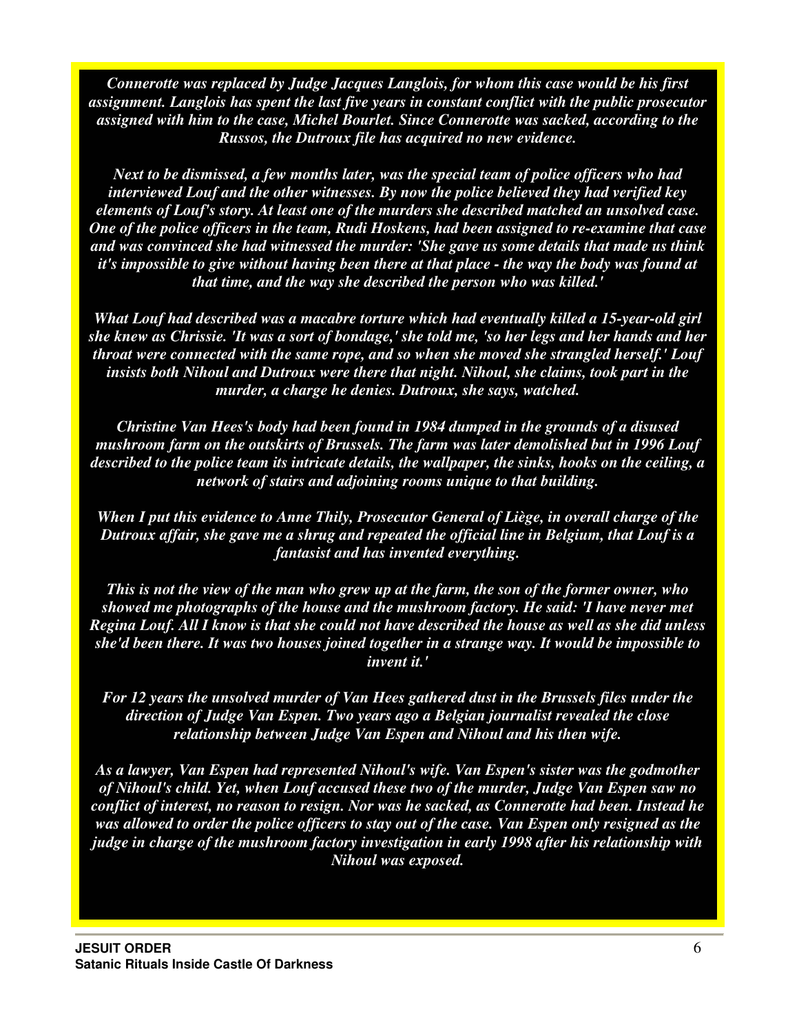*Connerotte was replaced by Judge Jacques Langlois, for whom this case would be his first assignment. Langlois has spent the last five years in constant conflict with the public prosecutor assigned with him to the case, Michel Bourlet. Since Connerotte was sacked, according to the Russos, the Dutroux file has acquired no new evidence.* 

*Next to be dismissed, a few months later, was the special team of police officers who had interviewed Louf and the other witnesses. By now the police believed they had verified key elements of Louf's story. At least one of the murders she described matched an unsolved case. One of the police officers in the team, Rudi Hoskens, had been assigned to re-examine that case and was convinced she had witnessed the murder: 'She gave us some details that made us think it's impossible to give without having been there at that place - the way the body was found at that time, and the way she described the person who was killed.'* 

*What Louf had described was a macabre torture which had eventually killed a 15-year-old girl she knew as Chrissie. 'It was a sort of bondage,' she told me, 'so her legs and her hands and her throat were connected with the same rope, and so when she moved she strangled herself.' Louf insists both Nihoul and Dutroux were there that night. Nihoul, she claims, took part in the murder, a charge he denies. Dutroux, she says, watched.* 

*Christine Van Hees's body had been found in 1984 dumped in the grounds of a disused mushroom farm on the outskirts of Brussels. The farm was later demolished but in 1996 Louf described to the police team its intricate details, the wallpaper, the sinks, hooks on the ceiling, a network of stairs and adjoining rooms unique to that building.* 

*When I put this evidence to Anne Thily, Prosecutor General of Liège, in overall charge of the Dutroux affair, she gave me a shrug and repeated the official line in Belgium, that Louf is a fantasist and has invented everything.* 

*This is not the view of the man who grew up at the farm, the son of the former owner, who showed me photographs of the house and the mushroom factory. He said: 'I have never met Regina Louf. All I know is that she could not have described the house as well as she did unless she'd been there. It was two houses joined together in a strange way. It would be impossible to invent it.'* 

*For 12 years the unsolved murder of Van Hees gathered dust in the Brussels files under the direction of Judge Van Espen. Two years ago a Belgian journalist revealed the close relationship between Judge Van Espen and Nihoul and his then wife.* 

*As a lawyer, Van Espen had represented Nihoul's wife. Van Espen's sister was the godmother of Nihoul's child. Yet, when Louf accused these two of the murder, Judge Van Espen saw no conflict of interest, no reason to resign. Nor was he sacked, as Connerotte had been. Instead he was allowed to order the police officers to stay out of the case. Van Espen only resigned as the judge in charge of the mushroom factory investigation in early 1998 after his relationship with Nihoul was exposed.*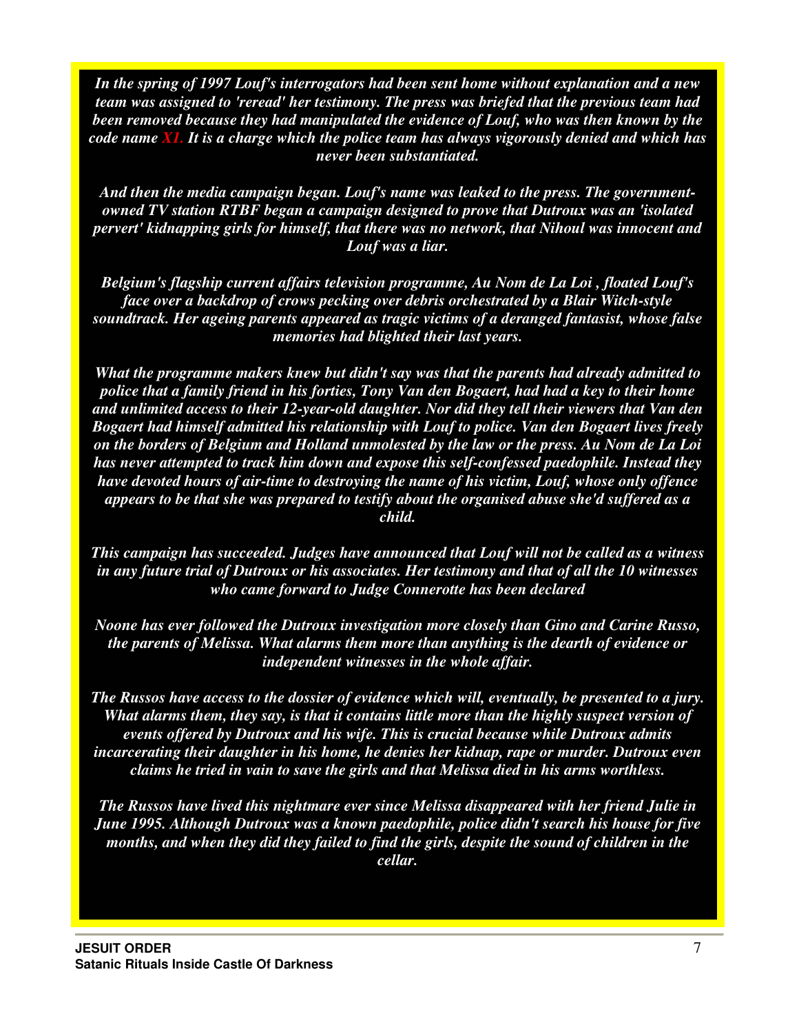*In the spring of 1997 Louf's interrogators had been sent home without explanation and a new team was assigned to 'reread' her testimony. The press was briefed that the previous team had been removed because they had manipulated the evidence of Louf, who was then known by the code name X1. It is a charge which the police team has always vigorously denied and which has never been substantiated.* 

*And then the media campaign began. Louf's name was leaked to the press. The governmentowned TV station RTBF began a campaign designed to prove that Dutroux was an 'isolated pervert' kidnapping girls for himself, that there was no network, that Nihoul was innocent and Louf was a liar.* 

*Belgium's flagship current affairs television programme, Au Nom de La Loi , floated Louf's face over a backdrop of crows pecking over debris orchestrated by a Blair Witch-style soundtrack. Her ageing parents appeared as tragic victims of a deranged fantasist, whose false memories had blighted their last years.* 

*What the programme makers knew but didn't say was that the parents had already admitted to police that a family friend in his forties, Tony Van den Bogaert, had had a key to their home and unlimited access to their 12-year-old daughter. Nor did they tell their viewers that Van den Bogaert had himself admitted his relationship with Louf to police. Van den Bogaert lives freely on the borders of Belgium and Holland unmolested by the law or the press. Au Nom de La Loi has never attempted to track him down and expose this self-confessed paedophile. Instead they have devoted hours of air-time to destroying the name of his victim, Louf, whose only offence appears to be that she was prepared to testify about the organised abuse she'd suffered as a child.* 

*This campaign has succeeded. Judges have announced that Louf will not be called as a witness in any future trial of Dutroux or his associates. Her testimony and that of all the 10 witnesses who came forward to Judge Connerotte has been declared*

*Noone has ever followed the Dutroux investigation more closely than Gino and Carine Russo, the parents of Melissa. What alarms them more than anything is the dearth of evidence or independent witnesses in the whole affair.* 

*The Russos have access to the dossier of evidence which will, eventually, be presented to a jury. What alarms them, they say, is that it contains little more than the highly suspect version of events offered by Dutroux and his wife. This is crucial because while Dutroux admits incarcerating their daughter in his home, he denies her kidnap, rape or murder. Dutroux even claims he tried in vain to save the girls and that Melissa died in his arms worthless.* 

*The Russos have lived this nightmare ever since Melissa disappeared with her friend Julie in June 1995. Although Dutroux was a known paedophile, police didn't search his house for five months, and when they did they failed to find the girls, despite the sound of children in the cellar.*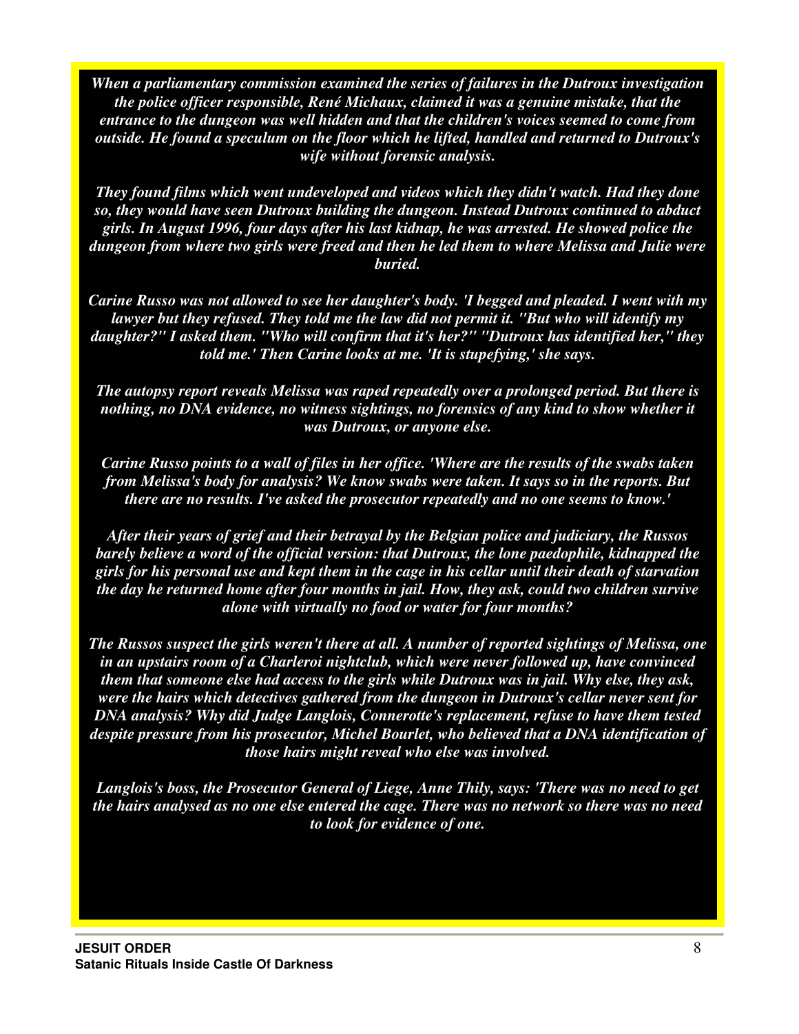*When a parliamentary commission examined the series of failures in the Dutroux investigation the police officer responsible, René Michaux, claimed it was a genuine mistake, that the entrance to the dungeon was well hidden and that the children's voices seemed to come from outside. He found a speculum on the floor which he lifted, handled and returned to Dutroux's wife without forensic analysis.* 

*They found films which went undeveloped and videos which they didn't watch. Had they done so, they would have seen Dutroux building the dungeon. Instead Dutroux continued to abduct girls. In August 1996, four days after his last kidnap, he was arrested. He showed police the dungeon from where two girls were freed and then he led them to where Melissa and Julie were buried.* 

*Carine Russo was not allowed to see her daughter's body. 'I begged and pleaded. I went with my lawyer but they refused. They told me the law did not permit it. "But who will identify my daughter?" I asked them. "Who will confirm that it's her?" "Dutroux has identified her," they told me.' Then Carine looks at me. 'It is stupefying,' she says.* 

*The autopsy report reveals Melissa was raped repeatedly over a prolonged period. But there is nothing, no DNA evidence, no witness sightings, no forensics of any kind to show whether it was Dutroux, or anyone else.* 

*Carine Russo points to a wall of files in her office. 'Where are the results of the swabs taken from Melissa's body for analysis? We know swabs were taken. It says so in the reports. But there are no results. I've asked the prosecutor repeatedly and no one seems to know.'* 

*After their years of grief and their betrayal by the Belgian police and judiciary, the Russos barely believe a word of the official version: that Dutroux, the lone paedophile, kidnapped the girls for his personal use and kept them in the cage in his cellar until their death of starvation the day he returned home after four months in jail. How, they ask, could two children survive alone with virtually no food or water for four months?* 

*The Russos suspect the girls weren't there at all. A number of reported sightings of Melissa, one in an upstairs room of a Charleroi nightclub, which were never followed up, have convinced them that someone else had access to the girls while Dutroux was in jail. Why else, they ask, were the hairs which detectives gathered from the dungeon in Dutroux's cellar never sent for DNA analysis? Why did Judge Langlois, Connerotte's replacement, refuse to have them tested despite pressure from his prosecutor, Michel Bourlet, who believed that a DNA identification of those hairs might reveal who else was involved.* 

*Langlois's boss, the Prosecutor General of Liege, Anne Thily, says: 'There was no need to get the hairs analysed as no one else entered the cage. There was no network so there was no need to look for evidence of one.*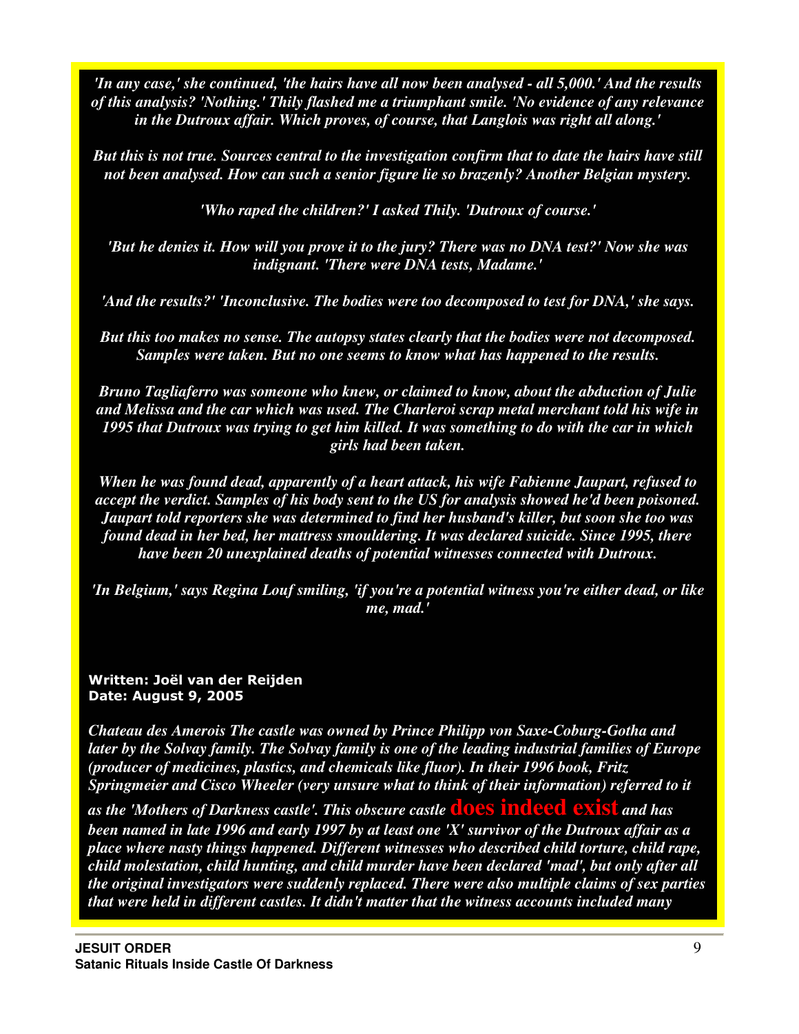*'In any case,' she continued, 'the hairs have all now been analysed - all 5,000.' And the results of this analysis? 'Nothing.' Thily flashed me a triumphant smile. 'No evidence of any relevance in the Dutroux affair. Which proves, of course, that Langlois was right all along.'* 

*But this is not true. Sources central to the investigation confirm that to date the hairs have still not been analysed. How can such a senior figure lie so brazenly? Another Belgian mystery.* 

*'Who raped the children?' I asked Thily. 'Dutroux of course.'* 

*'But he denies it. How will you prove it to the jury? There was no DNA test?' Now she was indignant. 'There were DNA tests, Madame.'* 

*'And the results?' 'Inconclusive. The bodies were too decomposed to test for DNA,' she says.* 

*But this too makes no sense. The autopsy states clearly that the bodies were not decomposed. Samples were taken. But no one seems to know what has happened to the results.* 

*Bruno Tagliaferro was someone who knew, or claimed to know, about the abduction of Julie and Melissa and the car which was used. The Charleroi scrap metal merchant told his wife in 1995 that Dutroux was trying to get him killed. It was something to do with the car in which girls had been taken.* 

*When he was found dead, apparently of a heart attack, his wife Fabienne Jaupart, refused to accept the verdict. Samples of his body sent to the US for analysis showed he'd been poisoned. Jaupart told reporters she was determined to find her husband's killer, but soon she too was found dead in her bed, her mattress smouldering. It was declared suicide. Since 1995, there have been 20 unexplained deaths of potential witnesses connected with Dutroux.* 

*'In Belgium,' says Regina Louf smiling, 'if you're a potential witness you're either dead, or like me, mad.'* 

#### Written: Joël van der Reijden Date: August 9, 2005

*Chateau des Amerois The castle was owned by Prince Philipp von Saxe-Coburg-Gotha and later by the Solvay family. The Solvay family is one of the leading industrial families of Europe (producer of medicines, plastics, and chemicals like fluor). In their 1996 book, Fritz Springmeier and Cisco Wheeler (very unsure what to think of their information) referred to it* 

*as the 'Mothers of Darkness castle'. This obscure castle* **does indeed exist** *and has been named in late 1996 and early 1997 by at least one 'X' survivor of the Dutroux affair as a place where nasty things happened. Different witnesses who described child torture, child rape, child molestation, child hunting, and child murder have been declared 'mad', but only after all the original investigators were suddenly replaced. There were also multiple claims of sex parties that were held in different castles. It didn't matter that the witness accounts included many*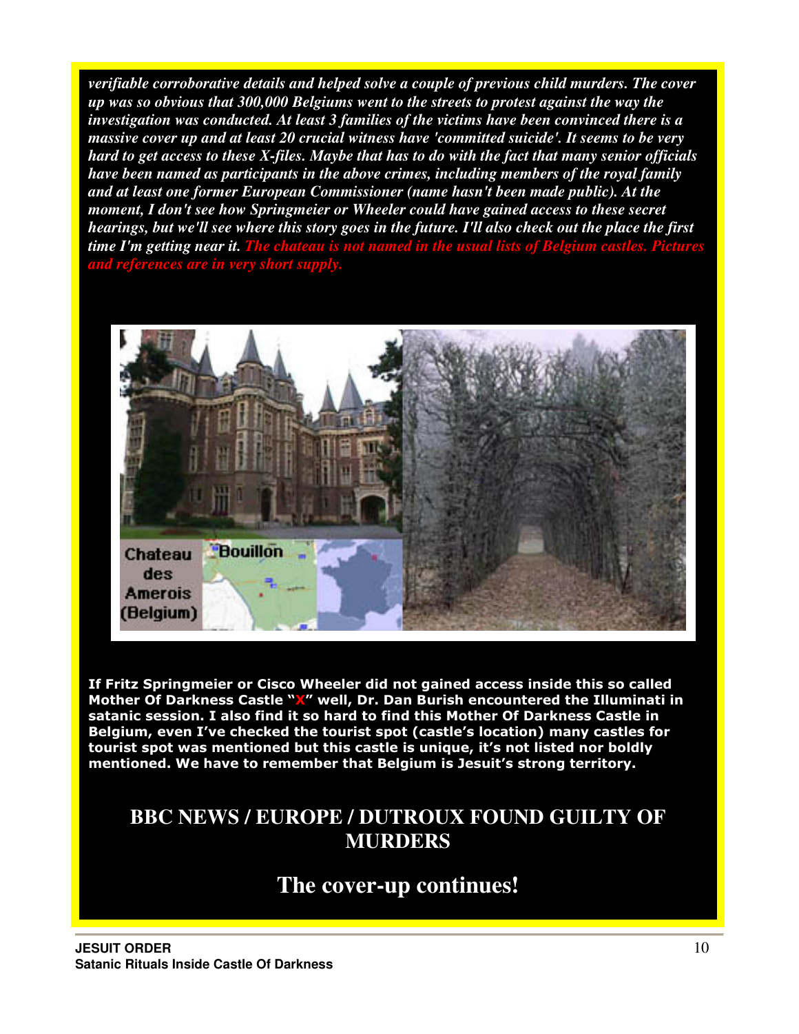*verifiable corroborative details and helped solve a couple of previous child murders. The cover up was so obvious that 300,000 Belgiums went to the streets to protest against the way the investigation was conducted. At least 3 families of the victims have been convinced there is a massive cover up and at least 20 crucial witness have 'committed suicide'. It seems to be very hard to get access to these X-files. Maybe that has to do with the fact that many senior officials have been named as participants in the above crimes, including members of the royal family and at least one former European Commissioner (name hasn't been made public). At the moment, I don't see how Springmeier or Wheeler could have gained access to these secret hearings, but we'll see where this story goes in the future. I'll also check out the place the first time I'm getting near it. The chateau is not named in the usual lists of Belgium castles. Pichot and references are in very short su* 



If Fritz Springmeier or Cisco Wheeler did not gained access inside this so called Mother Of Darkness Castle "X" well, Dr. Dan Burish encountered the Illuminati in satanic session. I also find it so hard to find this Mother Of Darkness Castle in Belgium, even I've checked the tourist spot (castle's location) many castles for tourist spot was mentioned but this castle is unique, it's not listed nor boldly mentioned. We have to remember that Belgium is Jesuit's strong territory.

## **BBC NEWS / EUROPE / DUTROUX FOUND GUILTY OF MURDERS**

## **The cover-up continues!**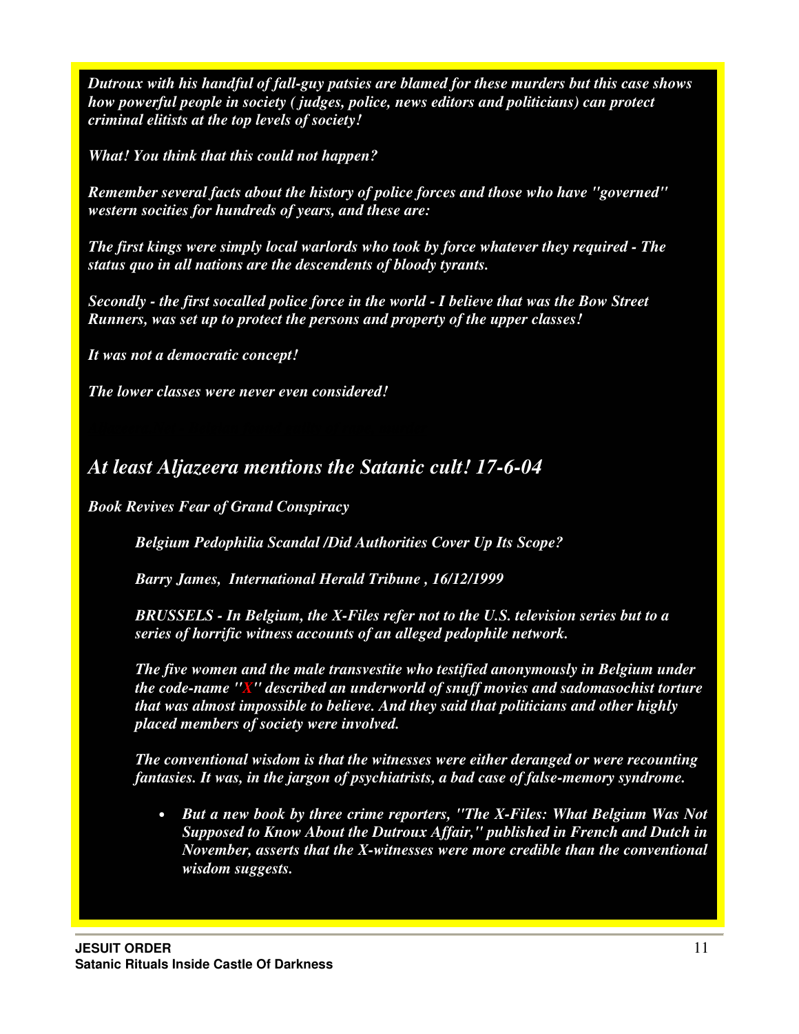*Dutroux with his handful of fall-guy patsies are blamed for these murders but this case shows how powerful people in society ( judges, police, news editors and politicians) can protect criminal elitists at the top levels of society!* 

*What! You think that this could not happen?* 

*Remember several facts about the history of police forces and those who have "governed" western socities for hundreds of years, and these are:* 

*The first kings were simply local warlords who took by force whatever they required - The status quo in all nations are the descendents of bloody tyrants.* 

*Secondly - the first socalled police force in the world - I believe that was the Bow Street Runners, was set up to protect the persons and property of the upper classes!* 

*It was not a democratic concept!* 

*The lower classes were never even considered!* 

## *At least Aljazeera mentions the Satanic cult! 17-6-04*

*Book Revives Fear of Grand Conspiracy* 

*Belgium Pedophilia Scandal /Did Authorities Cover Up Its Scope?* 

*Barry James, International Herald Tribune , 16/12/1999* 

*BRUSSELS - In Belgium, the X-Files refer not to the U.S. television series but to a series of horrific witness accounts of an alleged pedophile network.* 

*The five women and the male transvestite who testified anonymously in Belgium under the code-name ''X'' described an underworld of snuff movies and sadomasochist torture that was almost impossible to believe. And they said that politicians and other highly placed members of society were involved.* 

*The conventional wisdom is that the witnesses were either deranged or were recounting fantasies. It was, in the jargon of psychiatrists, a bad case of false-memory syndrome.* 

• *But a new book by three crime reporters, ''The X-Files: What Belgium Was Not Supposed to Know About the Dutroux Affair,'' published in French and Dutch in November, asserts that the X-witnesses were more credible than the conventional wisdom suggests.*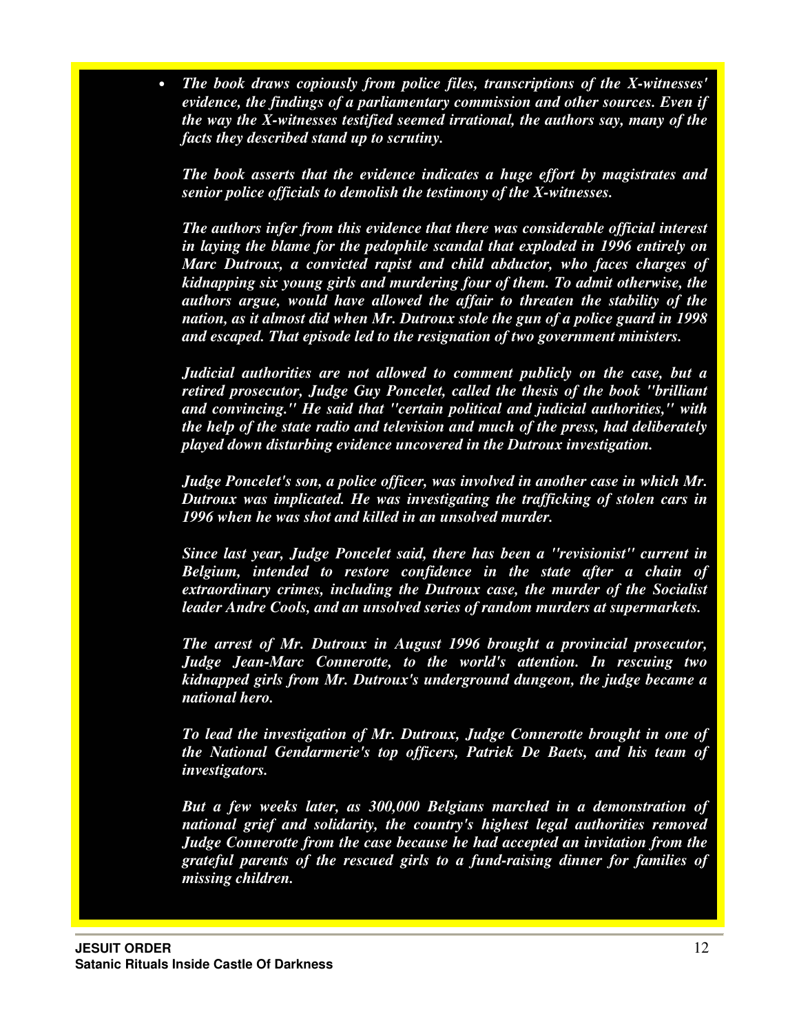• *The book draws copiously from police files, transcriptions of the X-witnesses' evidence, the findings of a parliamentary commission and other sources. Even if the way the X-witnesses testified seemed irrational, the authors say, many of the facts they described stand up to scrutiny.* 

*The book asserts that the evidence indicates a huge effort by magistrates and senior police officials to demolish the testimony of the X-witnesses.* 

*The authors infer from this evidence that there was considerable official interest in laying the blame for the pedophile scandal that exploded in 1996 entirely on Marc Dutroux, a convicted rapist and child abductor, who faces charges of kidnapping six young girls and murdering four of them. To admit otherwise, the authors argue, would have allowed the affair to threaten the stability of the nation, as it almost did when Mr. Dutroux stole the gun of a police guard in 1998 and escaped. That episode led to the resignation of two government ministers.* 

*Judicial authorities are not allowed to comment publicly on the case, but a retired prosecutor, Judge Guy Poncelet, called the thesis of the book ''brilliant and convincing.'' He said that ''certain political and judicial authorities,'' with the help of the state radio and television and much of the press, had deliberately played down disturbing evidence uncovered in the Dutroux investigation.* 

*Judge Poncelet's son, a police officer, was involved in another case in which Mr. Dutroux was implicated. He was investigating the trafficking of stolen cars in 1996 when he was shot and killed in an unsolved murder.* 

*Since last year, Judge Poncelet said, there has been a ''revisionist'' current in Belgium, intended to restore confidence in the state after a chain of extraordinary crimes, including the Dutroux case, the murder of the Socialist leader Andre Cools, and an unsolved series of random murders at supermarkets.* 

*The arrest of Mr. Dutroux in August 1996 brought a provincial prosecutor, Judge Jean-Marc Connerotte, to the world's attention. In rescuing two kidnapped girls from Mr. Dutroux's underground dungeon, the judge became a national hero.* 

*To lead the investigation of Mr. Dutroux, Judge Connerotte brought in one of the National Gendarmerie's top officers, Patriek De Baets, and his team of investigators.* 

*But a few weeks later, as 300,000 Belgians marched in a demonstration of national grief and solidarity, the country's highest legal authorities removed Judge Connerotte from the case because he had accepted an invitation from the grateful parents of the rescued girls to a fund-raising dinner for families of missing children.*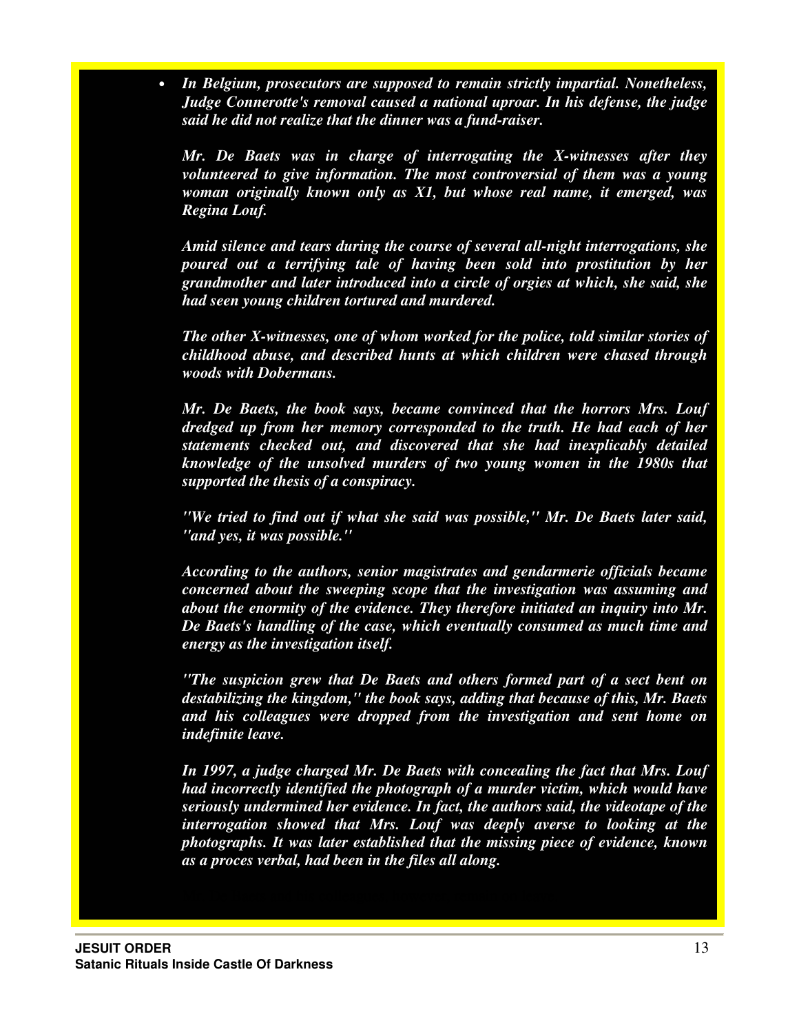• *In Belgium, prosecutors are supposed to remain strictly impartial. Nonetheless, Judge Connerotte's removal caused a national uproar. In his defense, the judge said he did not realize that the dinner was a fund-raiser.* 

*Mr. De Baets was in charge of interrogating the X-witnesses after they volunteered to give information. The most controversial of them was a young woman originally known only as X1, but whose real name, it emerged, was Regina Louf.* 

*Amid silence and tears during the course of several all-night interrogations, she poured out a terrifying tale of having been sold into prostitution by her grandmother and later introduced into a circle of orgies at which, she said, she had seen young children tortured and murdered.* 

*The other X-witnesses, one of whom worked for the police, told similar stories of childhood abuse, and described hunts at which children were chased through woods with Dobermans.* 

*Mr. De Baets, the book says, became convinced that the horrors Mrs. Louf dredged up from her memory corresponded to the truth. He had each of her statements checked out, and discovered that she had inexplicably detailed knowledge of the unsolved murders of two young women in the 1980s that supported the thesis of a conspiracy.* 

*''We tried to find out if what she said was possible,'' Mr. De Baets later said, ''and yes, it was possible.''* 

*According to the authors, senior magistrates and gendarmerie officials became concerned about the sweeping scope that the investigation was assuming and about the enormity of the evidence. They therefore initiated an inquiry into Mr. De Baets's handling of the case, which eventually consumed as much time and energy as the investigation itself.* 

*''The suspicion grew that De Baets and others formed part of a sect bent on destabilizing the kingdom,'' the book says, adding that because of this, Mr. Baets and his colleagues were dropped from the investigation and sent home on indefinite leave.* 

*In 1997, a judge charged Mr. De Baets with concealing the fact that Mrs. Louf had incorrectly identified the photograph of a murder victim, which would have seriously undermined her evidence. In fact, the authors said, the videotape of the interrogation showed that Mrs. Louf was deeply averse to looking at the photographs. It was later established that the missing piece of evidence, known as a proces verbal, had been in the files all along.*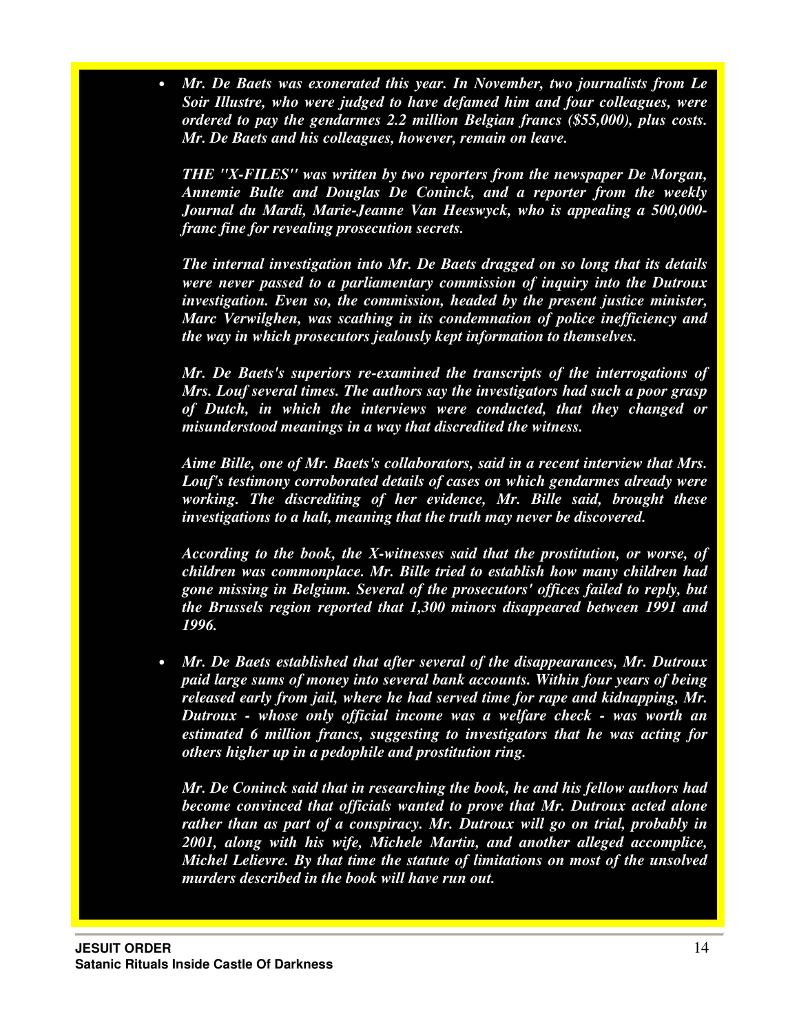• *Mr. De Baets was exonerated this year. In November, two journalists from Le Soir Illustre, who were judged to have defamed him and four colleagues, were ordered to pay the gendarmes 2.2 million Belgian francs (\$55,000), plus costs. Mr. De Baets and his colleagues, however, remain on leave.* 

*THE ''X-FILES'' was written by two reporters from the newspaper De Morgan, Annemie Bulte and Douglas De Coninck, and a reporter from the weekly Journal du Mardi, Marie-Jeanne Van Heeswyck, who is appealing a 500,000 franc fine for revealing prosecution secrets.* 

*The internal investigation into Mr. De Baets dragged on so long that its details were never passed to a parliamentary commission of inquiry into the Dutroux investigation. Even so, the commission, headed by the present justice minister, Marc Verwilghen, was scathing in its condemnation of police inefficiency and the way in which prosecutors jealously kept information to themselves.* 

*Mr. De Baets's superiors re-examined the transcripts of the interrogations of Mrs. Louf several times. The authors say the investigators had such a poor grasp of Dutch, in which the interviews were conducted, that they changed or misunderstood meanings in a way that discredited the witness.* 

*Aime Bille, one of Mr. Baets's collaborators, said in a recent interview that Mrs. Louf's testimony corroborated details of cases on which gendarmes already were working. The discrediting of her evidence, Mr. Bille said, brought these investigations to a halt, meaning that the truth may never be discovered.* 

*According to the book, the X-witnesses said that the prostitution, or worse, of children was commonplace. Mr. Bille tried to establish how many children had gone missing in Belgium. Several of the prosecutors' offices failed to reply, but the Brussels region reported that 1,300 minors disappeared between 1991 and 1996.* 

• *Mr. De Baets established that after several of the disappearances, Mr. Dutroux paid large sums of money into several bank accounts. Within four years of being released early from jail, where he had served time for rape and kidnapping, Mr. Dutroux - whose only official income was a welfare check - was worth an estimated 6 million francs, suggesting to investigators that he was acting for others higher up in a pedophile and prostitution ring.* 

*Mr. De Coninck said that in researching the book, he and his fellow authors had become convinced that officials wanted to prove that Mr. Dutroux acted alone rather than as part of a conspiracy. Mr. Dutroux will go on trial, probably in 2001, along with his wife, Michele Martin, and another alleged accomplice, Michel Lelievre. By that time the statute of limitations on most of the unsolved murders described in the book will have run out.*